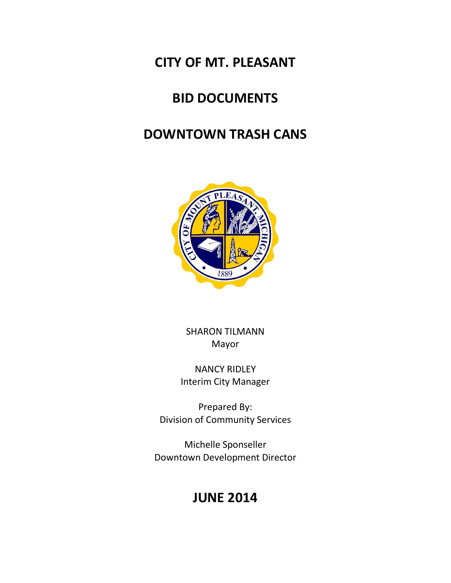## **CITY OF MT. PLEASANT**

# **BID DOCUMENTS**

## **DOWNTOWN TRASH CANS**



SHARON TILMANN Mayor

NANCY RIDLEY Interim City Manager

Prepared By: Division of Community Services

Michelle Sponseller Downtown Development Director

# **JUNE 2014**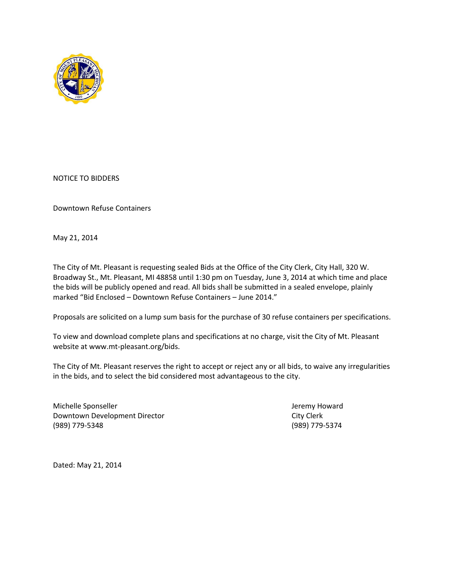

NOTICE TO BIDDERS

Downtown Refuse Containers

May 21, 2014

The City of Mt. Pleasant is requesting sealed Bids at the Office of the City Clerk, City Hall, 320 W. Broadway St., Mt. Pleasant, MI 48858 until 1:30 pm on Tuesday, June 3, 2014 at which time and place the bids will be publicly opened and read. All bids shall be submitted in a sealed envelope, plainly marked "Bid Enclosed – Downtown Refuse Containers – June 2014."

Proposals are solicited on a lump sum basis for the purchase of 30 refuse containers per specifications.

To view and download complete plans and specifications at no charge, visit the City of Mt. Pleasant website at www.mt-pleasant.org/bids.

The City of Mt. Pleasant reserves the right to accept or reject any or all bids, to waive any irregularities in the bids, and to select the bid considered most advantageous to the city.

Michelle Sponseller and a settlement of the United States of the United States of the United States of the United States of the United States of the United States of the United States of the United States of the United Sta Downtown Development Director **City Clerk** City Clerk (989) 779-5348 (989) 779-5374

Dated: May 21, 2014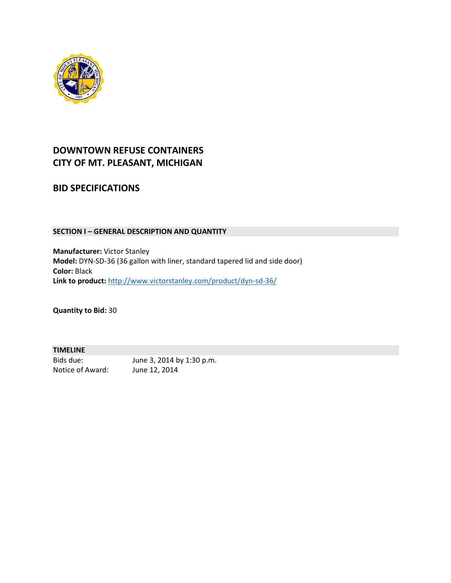

### **DOWNTOWN REFUSE CONTAINERS CITY OF MT. PLEASANT, MICHIGAN**

### **BID SPECIFICATIONS**

#### **SECTION I – GENERAL DESCRIPTION AND QUANTITY**

**Manufacturer:** Victor Stanley **Model:** DYN-SD-36 (36 gallon with liner, standard tapered lid and side door) **Color:** Black **Link to product:** <http://www.victorstanley.com/product/dyn-sd-36/>

**Quantity to Bid:** 30

#### **TIMELINE**

Notice of Award: June 12, 2014

Bids due: June 3, 2014 by 1:30 p.m.